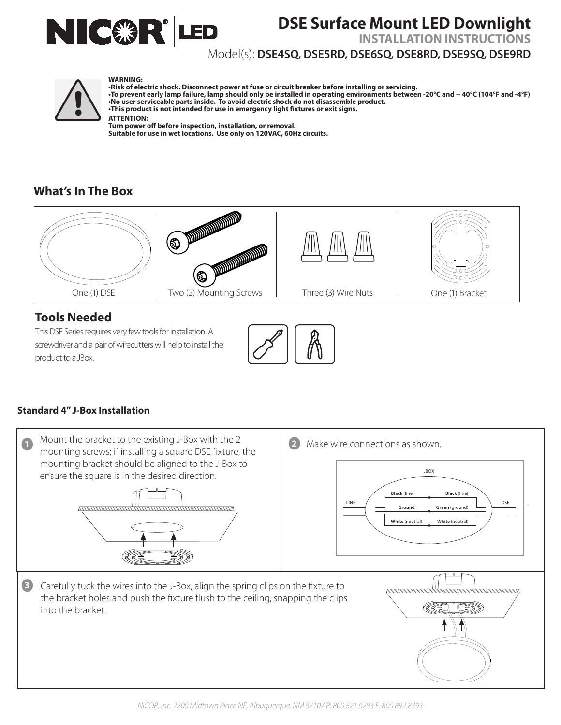

# **DSE Surface Mount LED Downlight**

**INSTALLATION INSTRUCTIONS**

### Model(s): **DSE4SQ, DSE5RD, DSE6SQ, DSE8RD, DSE9SQ, DSE9RD**



#### **WARNING:**

**•Risk of electric shock. Disconnect power at fuse or circuit breaker before installing or servicing. •To prevent early lamp failure, lamp should only be installed in operating environments between -20°C and + 40°C (104°F and -4°F) •No user serviceable parts inside. To avoid electric shock do not disassemble product. •This product is not intended for use in emergency light fixtures or exit signs. ATTENTION: Turn power off before inspection, installation, or removal.** WARNING:<br>
This kof electric shock. Disconnect power at fuse or circuit breaker before installing or servicing.<br>
To prevent early lamp failure, lamp should only be installed in operating environments between -20°C and + 40° From provent early lamp railure, lamp should only be installed in operating environments between -20°C and +40°C (104°F and -4°F)<br>
This product is not intended for use in emergency light fixtures or exit signs.<br>
THENTION:<br>

**Suitable for use in wet locations. Use only on 120VAC, 60Hz circuits.**

## **What's In The Box**



# **Tools Needed**

This DSE Series requires very few tools for installation. A screwdriver and a pair of wirecutters will help to install the product to a JBox. screwdriver and a pair of wirecutters will help to install the<br>product to a JBox.



### **Standard 4" J-Box Installation**